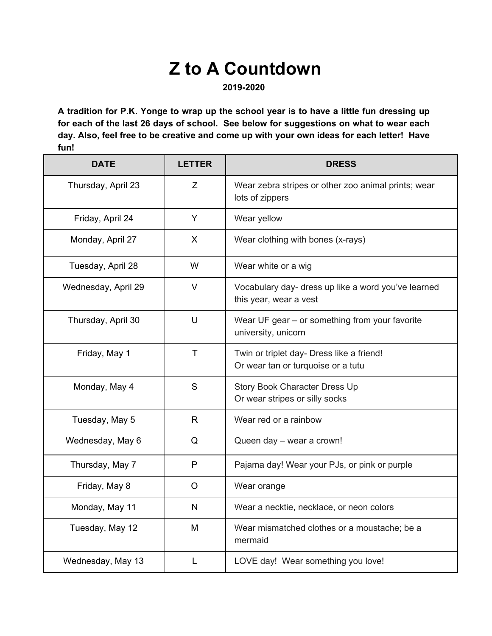## **Z to A Countdown**

**2019-2020** 

**A tradition for P.K. Yonge to wrap up the school year is to have a little fun dressing up for each of the last 26 days of school. See below for suggestions on what to wear each day. Also, feel free to be creative and come up with your own ideas for each letter! Have fun!** 

| <b>DATE</b>         | <b>LETTER</b> | <b>DRESS</b>                                                                    |
|---------------------|---------------|---------------------------------------------------------------------------------|
| Thursday, April 23  | Z             | Wear zebra stripes or other zoo animal prints; wear<br>lots of zippers          |
| Friday, April 24    | Y             | Wear yellow                                                                     |
| Monday, April 27    | $\mathsf{X}$  | Wear clothing with bones (x-rays)                                               |
| Tuesday, April 28   | W             | Wear white or a wig                                                             |
| Wednesday, April 29 | $\vee$        | Vocabulary day- dress up like a word you've learned<br>this year, wear a vest   |
| Thursday, April 30  | U             | Wear UF gear - or something from your favorite<br>university, unicorn           |
| Friday, May 1       | $\mathsf{T}$  | Twin or triplet day- Dress like a friend!<br>Or wear tan or turquoise or a tutu |
| Monday, May 4       | S             | Story Book Character Dress Up<br>Or wear stripes or silly socks                 |
| Tuesday, May 5      | R.            | Wear red or a rainbow                                                           |
| Wednesday, May 6    | Q             | Queen day - wear a crown!                                                       |
| Thursday, May 7     | P             | Pajama day! Wear your PJs, or pink or purple                                    |
| Friday, May 8       | $\circ$       | Wear orange                                                                     |
| Monday, May 11      | N             | Wear a necktie, necklace, or neon colors                                        |
| Tuesday, May 12     | M             | Wear mismatched clothes or a moustache; be a<br>mermaid                         |
| Wednesday, May 13   | L             | LOVE day! Wear something you love!                                              |